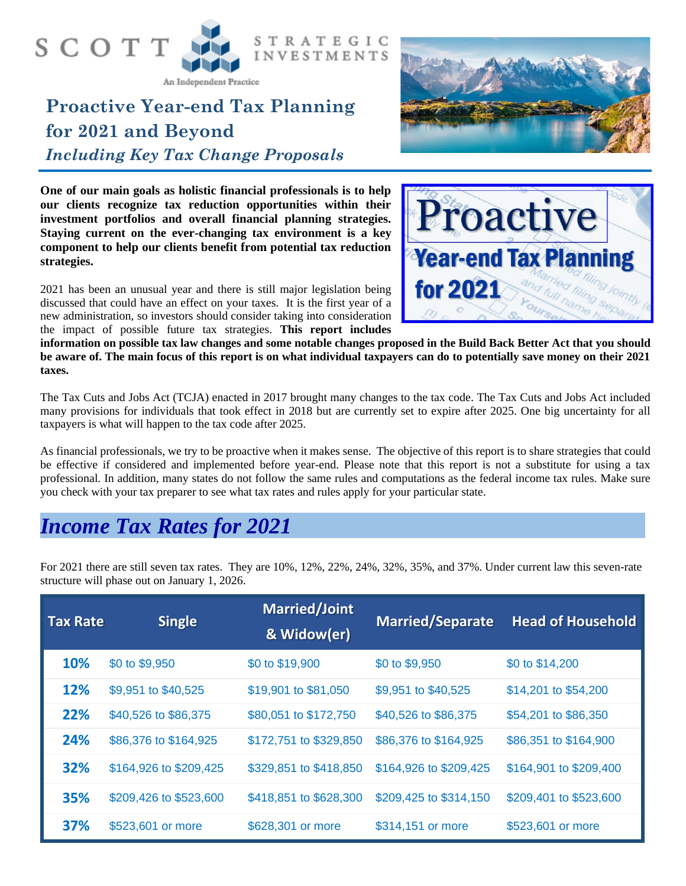

An Independent Practice

# **Proactive Year-end Tax Planning for 2021 and Beyond** *Including Key Tax Change Proposals*



**One of our main goals as holistic financial professionals is to help our clients recognize tax reduction opportunities within their investment portfolios and overall financial planning strategies. Staying current on the ever-changing tax environment is a key component to help our clients benefit from potential tax reduction strategies.** 



2021 has been an unusual year and there is still major legislation being discussed that could have an effect on your taxes. It is the first year of a new administration, so investors should consider taking into consideration the impact of possible future tax strategies. **This report includes** 

**information on possible tax law changes and some notable changes proposed in the Build Back Better Act that you should be aware of. The main focus of this report is on what individual taxpayers can do to potentially save money on their 2021 taxes.**

The Tax Cuts and Jobs Act (TCJA) enacted in 2017 brought many changes to the tax code. The Tax Cuts and Jobs Act included many provisions for individuals that took effect in 2018 but are currently set to expire after 2025. One big uncertainty for all taxpayers is what will happen to the tax code after 2025.

As financial professionals, we try to be proactive when it makes sense. The objective of this report is to share strategies that could be effective if considered and implemented before year-end. Please note that this report is not a substitute for using a tax professional. In addition, many states do not follow the same rules and computations as the federal income tax rules. Make sure you check with your tax preparer to see what tax rates and rules apply for your particular state.

### *Income Tax Rates for 2021*

For 2021 there are still seven tax rates. They are 10%, 12%, 22%, 24%, 32%, 35%, and 37%. Under current law this seven-rate structure will phase out on January 1, 2026.

| <b>Tax Rate</b> | <b>Single</b>          | <b>Married/Joint</b><br>& Widow(er) | <b>Married/Separate</b> | <b>Head of Household</b> |
|-----------------|------------------------|-------------------------------------|-------------------------|--------------------------|
| 10%             | \$0 to \$9,950         | \$0 to \$19,900                     | \$0 to \$9,950          | \$0 to \$14,200          |
| 12%             | \$9,951 to \$40,525    | \$19,901 to \$81,050                | \$9,951 to \$40,525     | \$14,201 to \$54,200     |
| 22%             | \$40,526 to \$86,375   | \$80,051 to \$172,750               | \$40,526 to \$86,375    | \$54,201 to \$86,350     |
| 24%             | \$86,376 to \$164,925  | \$172,751 to \$329,850              | \$86,376 to \$164,925   | \$86,351 to \$164,900    |
| 32%             | \$164,926 to \$209,425 | \$329,851 to \$418,850              | \$164,926 to \$209,425  | \$164,901 to \$209,400   |
| 35%             | \$209,426 to \$523,600 | \$418,851 to \$628,300              | \$209,425 to \$314,150  | \$209,401 to \$523,600   |
| 37%             | \$523,601 or more      | \$628,301 or more                   | \$314,151 or more       | \$523,601 or more        |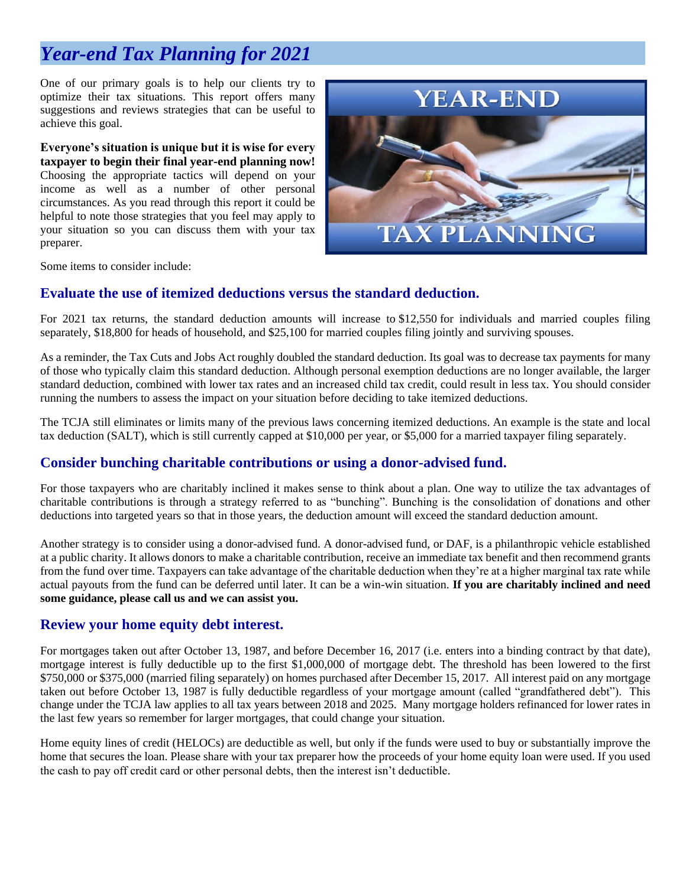## *Year-end Tax Planning for 2021*

One of our primary goals is to help our clients try to optimize their tax situations. This report offers many suggestions and reviews strategies that can be useful to achieve this goal.

**Everyone's situation is unique but it is wise for every taxpayer to begin their final year-end planning now!**  Choosing the appropriate tactics will depend on your income as well as a number of other personal circumstances. As you read through this report it could be helpful to note those strategies that you feel may apply to your situation so you can discuss them with your tax preparer.



Some items to consider include:

#### **Evaluate the use of itemized deductions versus the standard deduction.**

For 2021 tax returns, the standard deduction amounts will increase to \$12,550 for individuals and married couples filing separately, \$18,800 for heads of household, and \$25,100 for married couples filing jointly and surviving spouses.

As a reminder, the Tax Cuts and Jobs Act roughly doubled the standard deduction. Its goal was to decrease tax payments for many of those who typically claim this standard deduction. Although personal exemption deductions are no longer available, the larger standard deduction, combined with lower tax rates and an increased child tax credit, could result in less tax. You should consider running the numbers to assess the impact on your situation before deciding to take itemized deductions.

The TCJA still eliminates or limits many of the previous laws concerning itemized deductions. An example is the state and local tax deduction (SALT), which is still currently capped at \$10,000 per year, or \$5,000 for a married taxpayer filing separately.

#### **Consider bunching charitable contributions or using a donor-advised fund.**

For those taxpayers who are charitably inclined it makes sense to think about a plan. One way to utilize the tax advantages of charitable contributions is through a strategy referred to as "bunching". Bunching is the consolidation of donations and other deductions into targeted years so that in those years, the deduction amount will exceed the standard deduction amount.

Another strategy is to consider using a donor-advised fund. A donor-advised fund, or DAF, is a philanthropic vehicle established at a public charity. It allows donors to make a charitable contribution, receive an immediate tax benefit and then recommend grants from the fund over time. Taxpayers can take advantage of the charitable deduction when they're at a higher marginal tax rate while actual payouts from the fund can be deferred until later. It can be a win-win situation. **If you are charitably inclined and need some guidance, please call us and we can assist you.**

#### **Review your home equity debt interest.**

For mortgages taken out after October 13, 1987, and before December 16, 2017 (i.e. enters into a binding contract by that date), mortgage interest is fully deductible up to the first \$1,000,000 of mortgage debt. The threshold has been lowered to the first \$750,000 or \$375,000 (married filing separately) on homes purchased after December 15, 2017. All interest paid on any mortgage taken out before October 13, 1987 is fully deductible regardless of your mortgage amount (called "grandfathered debt"). This change under the TCJA law applies to all tax years between 2018 and 2025. Many mortgage holders refinanced for lower rates in the last few years so remember for larger mortgages, that could change your situation.

Home equity lines of credit (HELOCs) are deductible as well, but only if the funds were used to buy or substantially improve the home that secures the loan. Please share with your tax preparer how the proceeds of your home equity loan were used. If you used the cash to pay off credit card or other personal debts, then the interest isn't deductible.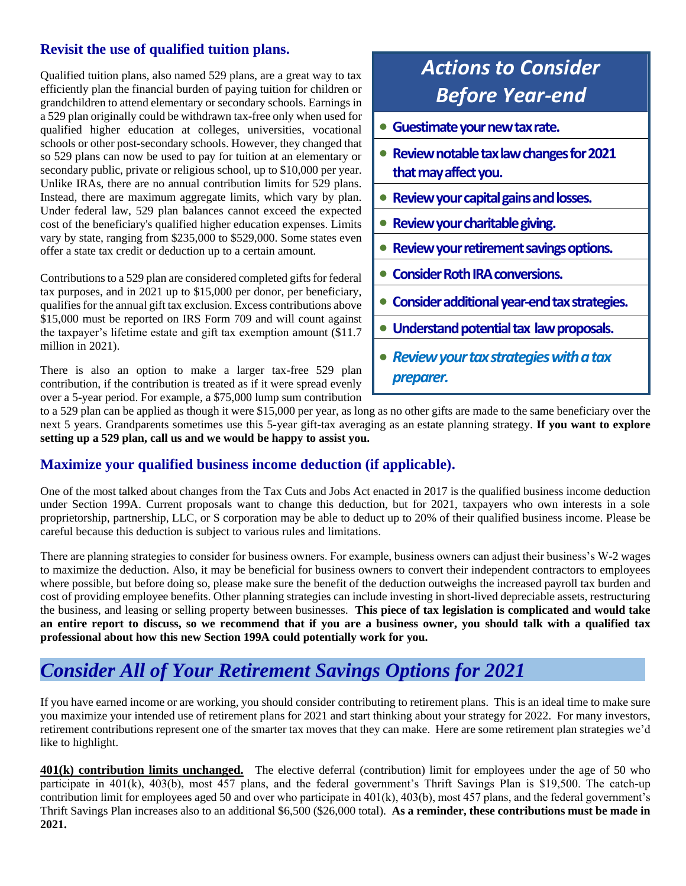#### **Revisit the use of qualified tuition plans.**

Qualified tuition plans, also named 529 plans, are a great way to tax efficiently plan the financial burden of paying tuition for children or grandchildren to attend elementary or secondary schools. Earnings in a 529 plan originally could be withdrawn tax-free only when used for qualified higher education at colleges, universities, vocational schools or other post-secondary schools. However, they changed that so 529 plans can now be used to pay for tuition at an elementary or secondary public, private or religious school, up to \$10,000 per year. Unlike IRAs, there are no annual contribution limits for 529 plans. Instead, there are maximum aggregate limits, which vary by plan. Under federal law, 529 plan balances cannot exceed the expected cost of the beneficiary's qualified higher education expenses. Limits vary by state, ranging from \$235,000 to \$529,000. Some states even offer a state tax credit or deduction up to a certain amount.

Contributions to a 529 plan are considered completed gifts for federal tax purposes, and in 2021 up to \$15,000 per donor, per beneficiary, qualifies for the annual gift tax exclusion. Excess contributions above \$15,000 must be reported on IRS Form 709 and will count against the taxpayer's lifetime estate and gift tax exemption amount (\$11.7 million in 2021).

There is also an option to make a larger tax-free 529 plan contribution, if the contribution is treated as if it were spread evenly over a 5-year period. For example, a \$75,000 lump sum contribution

# *Actions to Consider Before Year-end*

- **Guestimate your new tax rate.**
- **Review notable tax law changes for 2021 that may affect you.**
- **Review your capital gains and losses.**
- **Review your charitable giving.**
- **Review your retirement savings options.**
- **Consider Roth IRA conversions.**
- **Consider additional year-end tax strategies.**
- **Understand potential tax law proposals.**
- *Review your tax strategies with a tax preparer.*

to a 529 plan can be applied as though it were \$15,000 per year, as long as no other gifts are made to the same beneficiary over the next 5 years. Grandparents sometimes use this 5-year gift-tax averaging as an estate planning strategy. **If you want to explore setting up a 529 plan, call us and we would be happy to assist you.**

#### **Maximize your qualified business income deduction (if applicable).**

One of the most talked about changes from the Tax Cuts and Jobs Act enacted in 2017 is the qualified business income deduction under Section 199A. Current proposals want to change this deduction, but for 2021, taxpayers who own interests in a sole proprietorship, partnership, LLC, or S corporation may be able to deduct up to 20% of their qualified business income. Please be careful because this deduction is subject to various rules and limitations.

There are planning strategies to consider for business owners. For example, business owners can adjust their business's W-2 wages to maximize the deduction. Also, it may be beneficial for business owners to convert their independent contractors to employees where possible, but before doing so, please make sure the benefit of the deduction outweighs the increased payroll tax burden and cost of providing employee benefits. Other planning strategies can include investing in short-lived depreciable assets, restructuring the business, and leasing or selling property between businesses. **This piece of tax legislation is complicated and would take an entire report to discuss, so we recommend that if you are a business owner, you should talk with a qualified tax professional about how this new Section 199A could potentially work for you.**

#### *Consider All of Your Retirement Savings Options for 2021*

If you have earned income or are working, you should consider contributing to retirement plans. This is an ideal time to make sure you maximize your intended use of retirement plans for 2021 and start thinking about your strategy for 2022. For many investors, retirement contributions represent one of the smarter tax moves that they can make. Here are some retirement plan strategies we'd like to highlight.

**401(k) contribution limits unchanged.** The elective deferral (contribution) limit for employees under the age of 50 who participate in 401(k), 403(b), most 457 plans, and the federal government's Thrift Savings Plan is \$19,500. The catch-up contribution limit for employees aged 50 and over who participate in 401(k), 403(b), most 457 plans, and the federal government's Thrift Savings Plan increases also to an additional \$6,500 (\$26,000 total). **As a reminder, these contributions must be made in 2021.**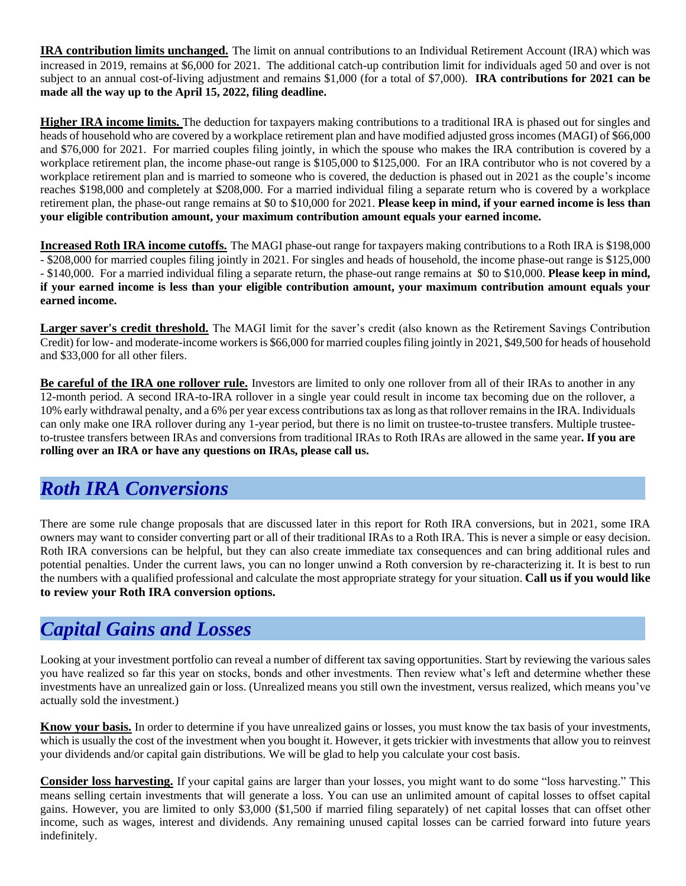**IRA contribution limits unchanged.** The limit on annual contributions to an Individual Retirement Account (IRA) which was increased in 2019, remains at \$6,000 for 2021. The additional catch-up contribution limit for individuals aged 50 and over is not subject to an annual cost-of-living adjustment and remains \$1,000 (for a total of \$7,000). **IRA contributions for 2021 can be made all the way up to the April 15, 2022, filing deadline.**

**Higher IRA income limits.** The deduction for taxpayers making contributions to a traditional IRA is phased out for singles and heads of household who are covered by a workplace retirement plan and have modified adjusted gross incomes (MAGI) of \$66,000 and \$76,000 for 2021. For married couples filing jointly, in which the spouse who makes the IRA contribution is covered by a workplace retirement plan, the income phase-out range is \$105,000 to \$125,000. For an IRA contributor who is not covered by a workplace retirement plan and is married to someone who is covered, the deduction is phased out in 2021 as the couple's income reaches \$198,000 and completely at \$208,000. For a married individual filing a separate return who is covered by a workplace retirement plan, the phase-out range remains at \$0 to \$10,000 for 2021. **Please keep in mind, if your earned income is less than your eligible contribution amount, your maximum contribution amount equals your earned income.**

**Increased Roth IRA income cutoffs.** The MAGI phase-out range for taxpayers making contributions to a Roth IRA is \$198,000 - \$208,000 for married couples filing jointly in 2021. For singles and heads of household, the income phase-out range is \$125,000 - \$140,000. For a married individual filing a separate return, the phase-out range remains at \$0 to \$10,000. **Please keep in mind, if your earned income is less than your eligible contribution amount, your maximum contribution amount equals your earned income.**

**Larger saver's credit threshold.** The MAGI limit for the saver's credit (also known as the Retirement Savings Contribution Credit) for low- and moderate-income workers is \$66,000 for married couples filing jointly in 2021, \$49,500 for heads of household and \$33,000 for all other filers.

**Be careful of the IRA one rollover rule.** Investors are limited to only one rollover from all of their IRAs to another in any 12-month period. A second IRA-to-IRA rollover in a single year could result in income tax becoming due on the rollover, a 10% early withdrawal penalty, and a 6% per year excess contributions tax as long as that rollover remains in the IRA. Individuals can only make one IRA rollover during any 1-year period, but there is no limit on trustee-to-trustee transfers. Multiple trusteeto-trustee transfers between IRAs and conversions from traditional IRAs to Roth IRAs are allowed in the same year**. If you are rolling over an IRA or have any questions on IRAs, please call us.**

### *Roth IRA Conversions*

There are some rule change proposals that are discussed later in this report for Roth IRA conversions, but in 2021, some IRA owners may want to consider converting part or all of their traditional IRAs to a Roth IRA. This is never a simple or easy decision. Roth IRA conversions can be helpful, but they can also create immediate tax consequences and can bring additional rules and potential penalties. Under the current laws, you can no longer unwind a Roth conversion by re-characterizing it. It is best to run the numbers with a qualified professional and calculate the most appropriate strategy for your situation. **Call us if you would like to review your Roth IRA conversion options.**

### *Capital Gains and Losses*

Looking at your investment portfolio can reveal a number of different tax saving opportunities. Start by reviewing the various sales you have realized so far this year on stocks, bonds and other investments. Then review what's left and determine whether these investments have an unrealized gain or loss. (Unrealized means you still own the investment, versus realized, which means you've actually sold the investment.)

**Know your basis.** In order to determine if you have unrealized gains or losses, you must know the tax basis of your investments, which is usually the cost of the investment when you bought it. However, it gets trickier with investments that allow you to reinvest your dividends and/or capital gain distributions. We will be glad to help you calculate your cost basis.

**Consider loss harvesting.** If your capital gains are larger than your losses, you might want to do some "loss harvesting." This means selling certain investments that will generate a loss. You can use an unlimited amount of capital losses to offset capital gains. However, you are limited to only \$3,000 (\$1,500 if married filing separately) of net capital losses that can offset other income, such as wages, interest and dividends. Any remaining unused capital losses can be carried forward into future years indefinitely.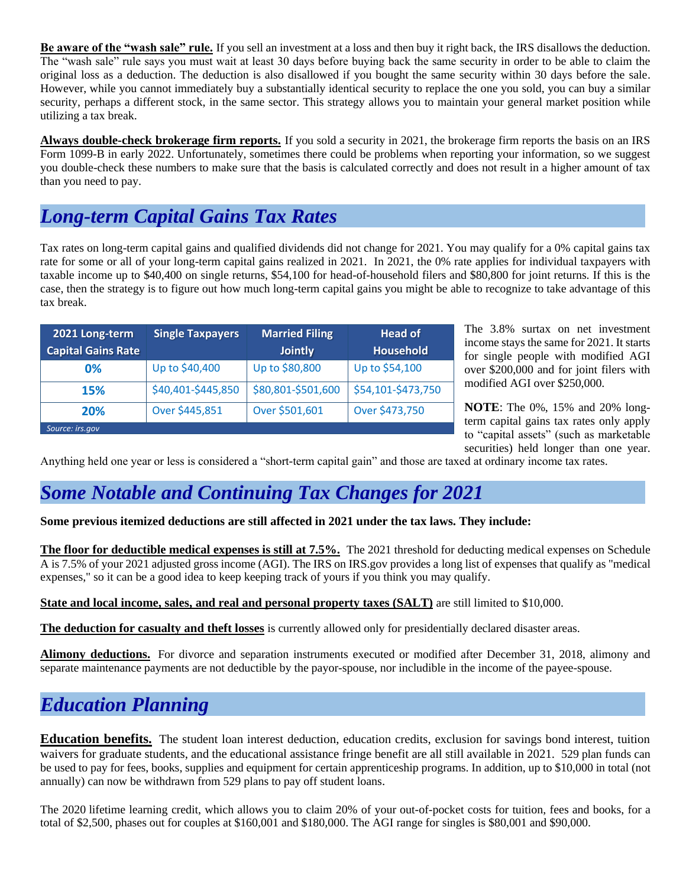**Be aware of the "wash sale" rule.** If you sell an investment at a loss and then buy it right back, the IRS disallows the deduction. The "wash sale" rule says you must wait at least 30 days before buying back the same security in order to be able to claim the original loss as a deduction. The deduction is also disallowed if you bought the same security within 30 days before the sale. However, while you cannot immediately buy a substantially identical security to replace the one you sold, you can buy a similar security, perhaps a different stock, in the same sector. This strategy allows you to maintain your general market position while utilizing a tax break.

**Always double-check brokerage firm reports.** If you sold a security in 2021, the brokerage firm reports the basis on an IRS Form 1099-B in early 2022. Unfortunately, sometimes there could be problems when reporting your information, so we suggest you double-check these numbers to make sure that the basis is calculated correctly and does not result in a higher amount of tax than you need to pay.

### *Long-term Capital Gains Tax Rates*

Tax rates on long-term capital gains and qualified dividends did not change for 2021. You may qualify for a 0% capital gains tax rate for some or all of your long-term capital gains realized in 2021. In 2021, the 0% rate applies for individual taxpayers with taxable income up to \$40,400 on single returns, \$54,100 for head-of-household filers and \$80,800 for joint returns. If this is the case, then the strategy is to figure out how much long-term capital gains you might be able to recognize to take advantage of this tax break.

| 2021 Long-term            | <b>Single Taxpayers</b> | <b>Married Filing</b> | <b>Head of</b>     |  |  |
|---------------------------|-------------------------|-----------------------|--------------------|--|--|
| <b>Capital Gains Rate</b> |                         | <b>Jointly</b>        | <b>Household</b>   |  |  |
| 0%                        | Up to \$40,400          | Up to \$80,800        | Up to \$54,100     |  |  |
| <b>15%</b>                | \$40,401-\$445,850      | \$80,801-\$501,600    | \$54,101-\$473,750 |  |  |
| 20%                       | Over \$445,851          | Over \$501,601        | Over \$473,750     |  |  |
| Source: irs.gov           |                         |                       |                    |  |  |

The 3.8% surtax on net investment income stays the same for 2021. It starts for single people with modified AGI over \$200,000 and for joint filers with modified AGI over \$250,000.

**NOTE**: The 0%, 15% and 20% longterm capital gains tax rates only apply to "capital assets" (such as marketable securities) held longer than one year.

Anything held one year or less is considered a "short-term capital gain" and those are taxed at ordinary income tax rates.

### *Some Notable and Continuing Tax Changes for 2021*

**Some previous itemized deductions are still affected in 2021 under the tax laws. They include:**

**The floor for deductible medical expenses is still at 7.5%.** The 2021 threshold for deducting medical expenses on Schedule A is 7.5% of your 2021 adjusted gross income (AGI). The IRS on IRS.gov provides a [long list of expenses](https://www.irs.gov/publications/p502) that qualify as "medical expenses," so it can be a good idea to keep keeping track of yours if you think you may qualify.

**State and local income, sales, and real and personal property taxes (SALT)** are still limited to \$10,000.

**The deduction for casualty and theft losses** is currently allowed only for presidentially declared disaster areas.

**Alimony deductions.** For divorce and separation instruments executed or modified after December 31, 2018, alimony and separate maintenance payments are not deductible by the payor-spouse, nor includible in the income of the payee-spouse.

### *Education Planning*

**Education benefits.** The student loan interest deduction, education credits, exclusion for savings bond interest, tuition waivers for graduate students, and the educational assistance fringe benefit are all still available in 2021. 529 plan funds can be used to pay for fees, books, supplies and equipment for certain apprenticeship programs. In addition, up to \$10,000 in total (not annually) can now be withdrawn from 529 plans to pay off student loans.

The 2020 [lifetime learning credit,](https://www.kiplinger.com/article/taxes/t042-c000-s001-tax-credits-for-college-expenses.html) which allows you to claim 20% of your out-of-pocket costs for tuition, fees and books, for a total of \$2,500, phases out for couples at \$160,001 and \$180,000. The AGI range for singles is \$80,001 and \$90,000.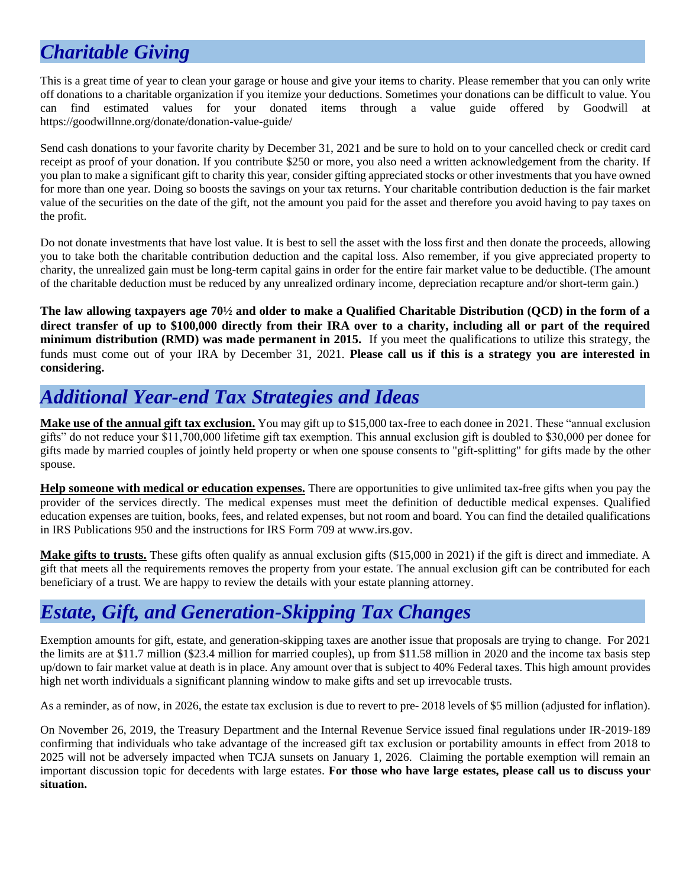# *Charitable Giving*

This is a great time of year to clean your garage or house and give your items to charity. Please remember that you can only write off donations to a charitable organization if you itemize your deductions. Sometimes your donations can be difficult to value. You can find estimated values for your donated items through a value guide offered by Goodwill at https://goodwillnne.org/donate/donation-value-guide/

Send cash donations to your favorite charity by December 31, 2021 and be sure to hold on to your cancelled check or credit card receipt as proof of your donation. If you contribute \$250 or more, you also need a written acknowledgement from the charity. If you plan to make a significant gift to charity this year, consider gifting appreciated stocks or other investments that you have owned for more than one year. Doing so boosts the savings on your tax returns. Your charitable contribution deduction is the fair market value of the securities on the date of the gift, not the amount you paid for the asset and therefore you avoid having to pay taxes on the profit.

Do not donate investments that have lost value. It is best to sell the asset with the loss first and then donate the proceeds, allowing you to take both the charitable contribution deduction and the capital loss. Also remember, if you give appreciated property to charity, the unrealized gain must be long-term capital gains in order for the entire fair market value to be deductible. (The amount of the charitable deduction must be reduced by any unrealized ordinary income, depreciation recapture and/or short-term gain.)

**The law allowing taxpayers age 70½ and older to make a Qualified Charitable Distribution (QCD) in the form of a direct transfer of up to \$100,000 directly from their IRA over to a charity, including all or part of the required minimum distribution (RMD) was made permanent in 2015.** If you meet the qualifications to utilize this strategy, the funds must come out of your IRA by December 31, 2021. **Please call us if this is a strategy you are interested in considering.**

### *Additional Year-end Tax Strategies and Ideas*

**Make use of the annual gift tax exclusion.** You may gift up to \$15,000 tax-free to each donee in 2021. These "annual exclusion gifts" do not reduce your \$11,700,000 lifetime gift tax exemption. This annual exclusion gift is doubled to \$30,000 per donee for gifts made by married couples of jointly held property or when one spouse consents to "gift-splitting" for gifts made by the other spouse.

**Help someone with medical or education expenses.** There are opportunities to give unlimited tax-free gifts when you pay the provider of the services directly. The medical expenses must meet the definition of deductible medical expenses. Qualified education expenses are tuition, books, fees, and related expenses, but not room and board. You can find the detailed qualifications in IRS Publications 950 and the instructions for IRS Form 709 at [www.irs.gov.](http://www.irs.gov/)

**Make gifts to trusts.** These gifts often qualify as annual exclusion gifts (\$15,000 in 2021) if the gift is direct and immediate. A gift that meets all the requirements removes the property from your estate. The annual exclusion gift can be contributed for each beneficiary of a trust. We are happy to review the details with your estate planning attorney.

# *Estate, Gift, and Generation-Skipping Tax Changes*

Exemption amounts for gift, estate, and generation-skipping taxes are another issue that proposals are trying to change. For 2021 the limits are at \$11.7 million (\$23.4 million for married couples), up from \$11.58 million in 2020 and the income tax basis step up/down to fair market value at death is in place. Any amount over that is subject to 40% Federal taxes. This high amount provides high net worth individuals a significant planning window to make gifts and set up irrevocable trusts.

As a reminder, as of now, in 2026, the estate tax exclusion is due to revert to pre- 2018 levels of \$5 million (adjusted for inflation).

On November 26, 2019, the Treasury Department and the Internal Revenue Service issued final regulations under IR-2019-189 confirming that individuals who take advantage of the increased gift tax exclusion or portability amounts in effect from 2018 to 2025 will not be adversely impacted when TCJA sunsets on January 1, 2026. Claiming the portable exemption will remain an important discussion topic for decedents with large estates. **For those who have large estates, please call us to discuss your situation.**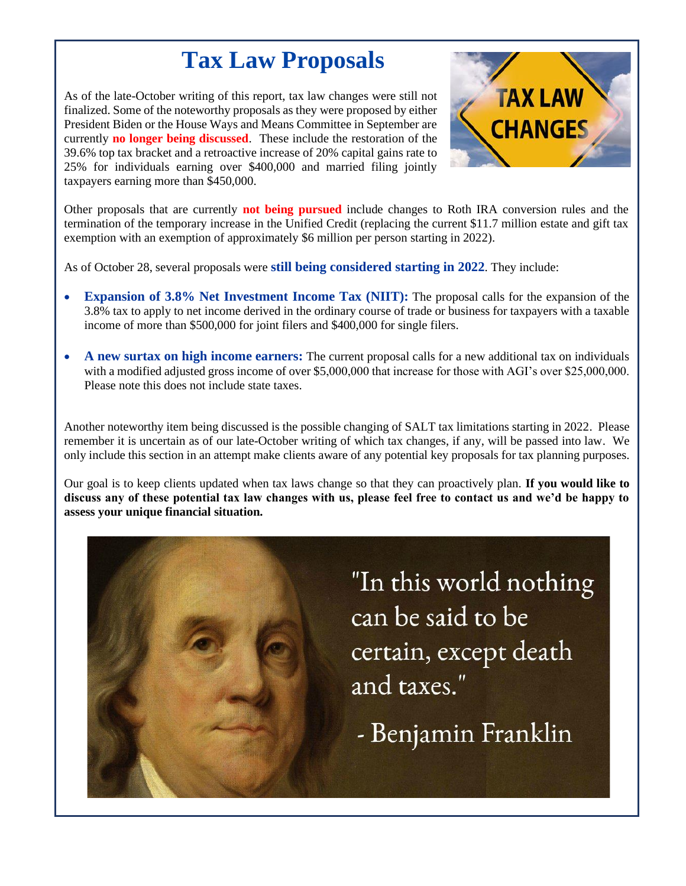# **Tax Law Proposals**

As of the late-October writing of this report, tax law changes were still not finalized. Some of the noteworthy proposals as they were proposed by either President Biden or the House Ways and Means Committee in September are currently **no longer being discussed**. These include the restoration of the 39.6% top tax bracket and a retroactive increase of 20% capital gains rate to 25% for individuals earning over \$400,000 and married filing jointly taxpayers earning more than \$450,000.



Other proposals that are currently **not being pursued** include changes to Roth IRA conversion rules and the termination of the temporary increase in the Unified Credit (replacing the current \$11.7 million estate and gift tax exemption with an exemption of approximately \$6 million per person starting in 2022).

As of October 28, several proposals were **still being considered starting in 2022**. They include:

- **Expansion of 3.8% Net Investment Income Tax (NIIT):** The proposal calls for the expansion of the 3.8% tax to apply to net income derived in the ordinary course of trade or business for taxpayers with a taxable income of more than \$500,000 for joint filers and \$400,000 for single filers.
- **A new surtax on high income earners:** The current proposal calls for a new additional tax on individuals with a modified adjusted gross income of over \$5,000,000 that increase for those with AGI's over \$25,000,000. Please note this does not include state taxes.

Another noteworthy item being discussed is the possible changing of SALT tax limitations starting in 2022. Please remember it is uncertain as of our late-October writing of which tax changes, if any, will be passed into law. We only include this section in an attempt make clients aware of any potential key proposals for tax planning purposes.

Our goal is to keep clients updated when tax laws change so that they can proactively plan. **If you would like to discuss any of these potential tax law changes with us, please feel free to contact us and we'd be happy to assess your unique financial situation.**